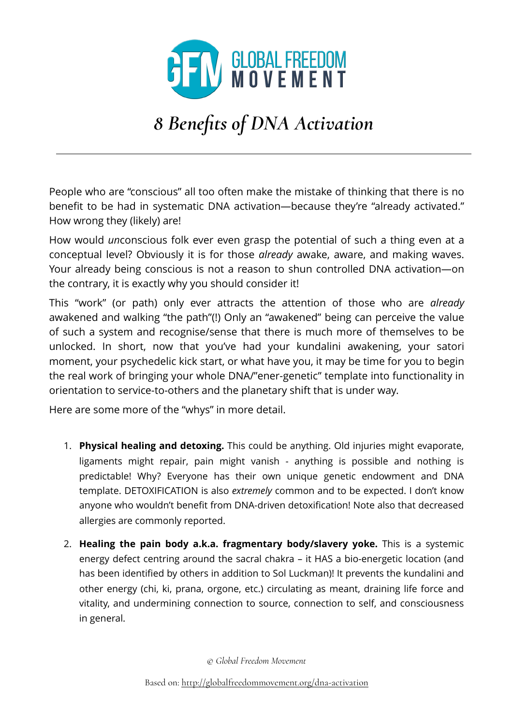

## *8 Benefits of DNA Activation*

People who are "conscious" all too often make the mistake of thinking that there is no benefit to be had in systematic DNA activation—because they're "already activated." How wrong they (likely) are!

How would *un*conscious folk ever even grasp the potential of such a thing even at a conceptual level? Obviously it is for those *already* awake, aware, and making waves. Your already being conscious is not a reason to shun controlled DNA activation—on the contrary, it is exactly why you should consider it!

This "work" (or path) only ever attracts the attention of those who are *already* awakened and walking "the path"(!) Only an "awakened" being can perceive the value of such a system and recognise/sense that there is much more of themselves to be unlocked. In short, now that you've had your kundalini awakening, your satori moment, your psychedelic kick start, or what have you, it may be time for you to begin the real work of bringing your whole DNA/"ener-genetic" template into functionality in orientation to service-to-others and the planetary shift that is under way.

Here are some more of the "whys" in more detail.

- 1. **Physical healing and detoxing.** This could be anything. Old injuries might evaporate, ligaments might repair, pain might vanish - anything is possible and nothing is predictable! Why? Everyone has their own unique genetic endowment and DNA template. DETOXIFICATION is also *extremely* common and to be expected. I don't know anyone who wouldn't benefit from DNA-driven detoxification! Note also that decreased allergies are commonly reported.
- 2. **Healing the pain body a.k.a. fragmentary body/slavery yoke.** This is a systemic energy defect centring around the sacral chakra – it HAS a bio-energetic location (and has been identified by others in addition to Sol Luckman)! It prevents the kundalini and other energy (chi, ki, prana, orgone, etc.) circulating as meant, draining life force and vitality, and undermining connection to source, connection to self, and consciousness in general.

*© Global Freedom Movement*